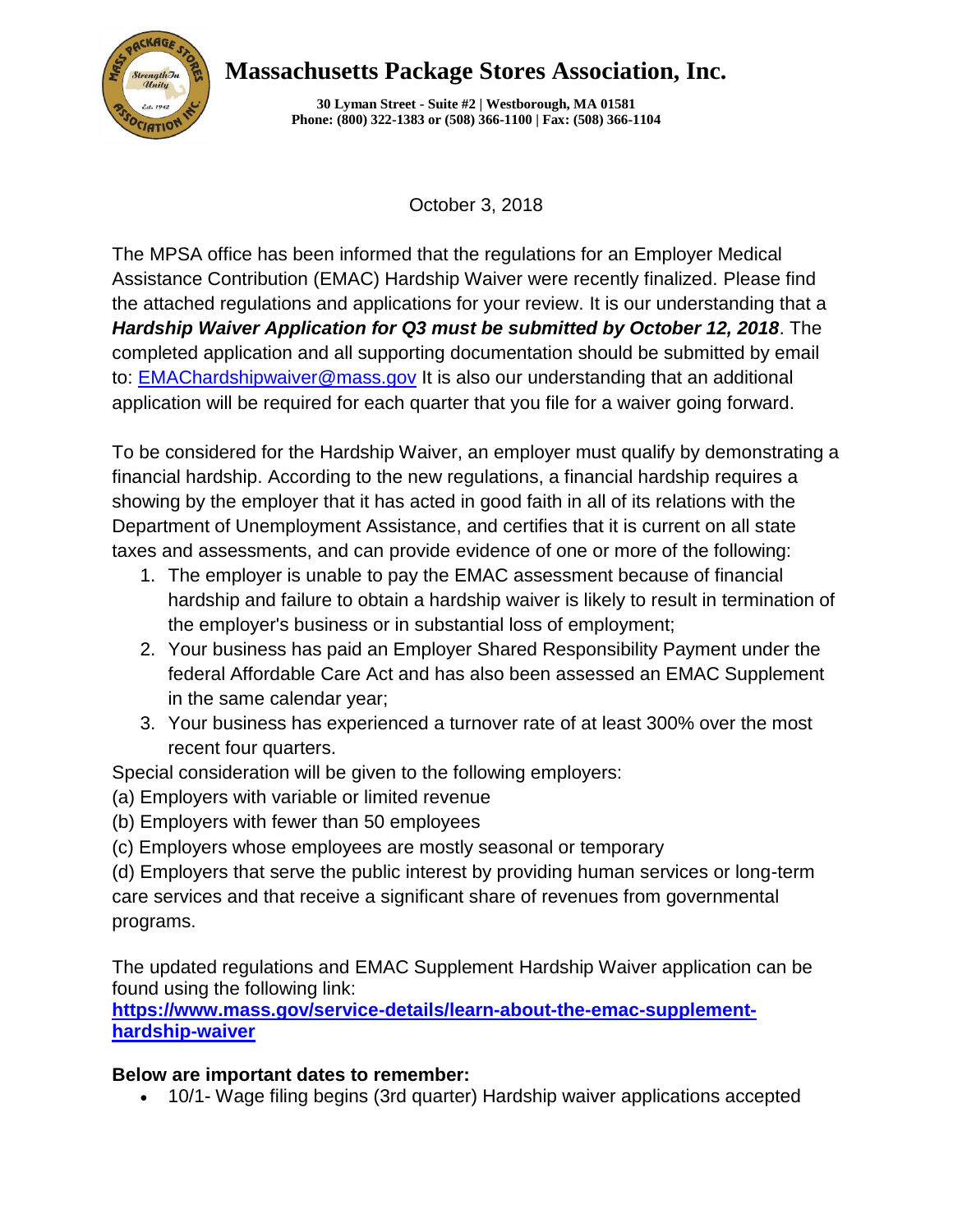

## **Massachusetts Package Stores Association, Inc.**

**30 Lyman Street - Suite #2 | Westborough, MA 01581 Phone: (800) 322-1383 or (508) 366-1100 | Fax: (508) 366-1104**

October 3, 2018

The MPSA office has been informed that the regulations for an Employer Medical Assistance Contribution (EMAC) Hardship Waiver were recently finalized. Please find the attached regulations and applications for your review. It is our understanding that a *Hardship Waiver Application for Q3 must be submitted by October 12, 2018*. The completed application and all supporting documentation should be submitted by email to: [EMAChardshipwaiver@mass.gov](http://r20.rs6.net/tn.jsp?f=001bz2jFGB4hENFgZdSU_MtR-xsKNCUalra352fYo8zaL7ipHqAjMiwJBRini2T2eD_vFMtMag1eFVhV_FgKiNK-UrKNYDb1CEdbaH4PAcChUznx79u_boPb1e9rKJmc5MRZ6bdUHN-ngJooQvg3ltqmpyeAvQml3NIfAGpQWsCcBKVJ5QVRJCxEka8b6OV7mjN&c=_9aSmBNDQ-ugYSu_wIrroC_kPsPt3t3m4sA5QaGlfwMDvPgR-cnkkg==&ch=42cQxkU_jbZruqW2p6BhrmXLXaxrnyTeqXhMw1I9d2gDUt1_9U8rcg==) It is also our understanding that an additional application will be required for each quarter that you file for a waiver going forward.

To be considered for the Hardship Waiver, an employer must qualify by demonstrating a financial hardship. According to the new regulations, a financial hardship requires a showing by the employer that it has acted in good faith in all of its relations with the Department of Unemployment Assistance, and certifies that it is current on all state taxes and assessments, and can provide evidence of one or more of the following:

- 1. The employer is unable to pay the EMAC assessment because of financial hardship and failure to obtain a hardship waiver is likely to result in termination of the employer's business or in substantial loss of employment;
- 2. Your business has paid an Employer Shared Responsibility Payment under the federal Affordable Care Act and has also been assessed an EMAC Supplement in the same calendar year;
- 3. Your business has experienced a turnover rate of at least 300% over the most recent four quarters.

Special consideration will be given to the following employers:

- (a) Employers with variable or limited revenue
- (b) Employers with fewer than 50 employees
- (c) Employers whose employees are mostly seasonal or temporary

(d) Employers that serve the public interest by providing human services or long-term care services and that receive a significant share of revenues from governmental programs.

The updated regulations and EMAC Supplement Hardship Waiver application can be found using the following link:

**[https://www.mass.gov/service-details/learn-about-the-emac-supplement](http://r20.rs6.net/tn.jsp?f=001bz2jFGB4hENFgZdSU_MtR-xsKNCUalra352fYo8zaL7ipHqAjMiwJBRini2T2eD_UPGqN7STsobAaoYFHz_Pfqb_7yucUCns8wwhqiA-oY6PdB7fe39HSLrIOrKnRwPucqEGnf4t_pFvIhh3dSf5lW8jP0rr4zVFCHiAa-k3Mt8cJzgIbeGSPmaDTXgIjYt79PaVmXIWyXTbY2rMniJeaFK4NcUI23bh296LsNcL80LsTRvyimdDMX4t_cvi8eiW&c=_9aSmBNDQ-ugYSu_wIrroC_kPsPt3t3m4sA5QaGlfwMDvPgR-cnkkg==&ch=42cQxkU_jbZruqW2p6BhrmXLXaxrnyTeqXhMw1I9d2gDUt1_9U8rcg==)[hardship-waiver](http://r20.rs6.net/tn.jsp?f=001bz2jFGB4hENFgZdSU_MtR-xsKNCUalra352fYo8zaL7ipHqAjMiwJBRini2T2eD_UPGqN7STsobAaoYFHz_Pfqb_7yucUCns8wwhqiA-oY6PdB7fe39HSLrIOrKnRwPucqEGnf4t_pFvIhh3dSf5lW8jP0rr4zVFCHiAa-k3Mt8cJzgIbeGSPmaDTXgIjYt79PaVmXIWyXTbY2rMniJeaFK4NcUI23bh296LsNcL80LsTRvyimdDMX4t_cvi8eiW&c=_9aSmBNDQ-ugYSu_wIrroC_kPsPt3t3m4sA5QaGlfwMDvPgR-cnkkg==&ch=42cQxkU_jbZruqW2p6BhrmXLXaxrnyTeqXhMw1I9d2gDUt1_9U8rcg==)**

## **Below are important dates to remember:**

• 10/1- Wage filing begins (3rd quarter) Hardship waiver applications accepted